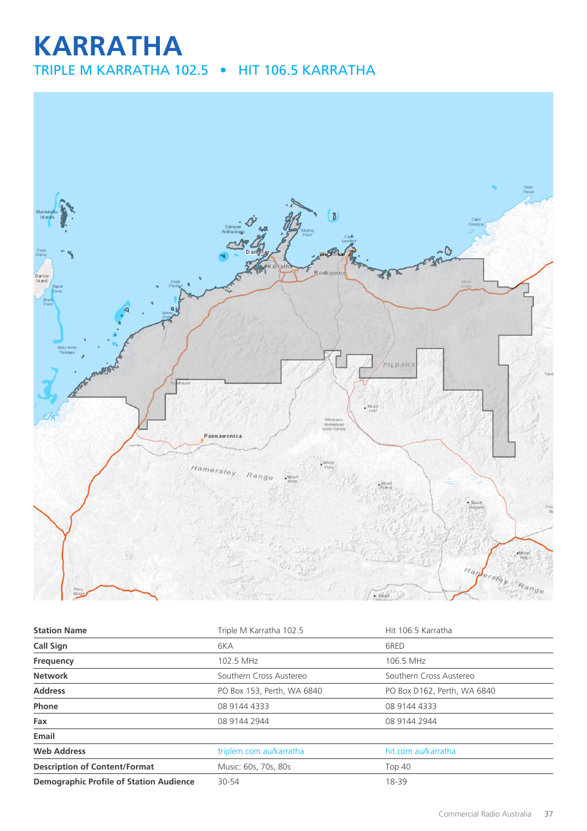# **KARRATHA**

TRIPLE M KARRATHA 102.5 • HIT 106.5 KARRATHA



| <b>Station Name</b>                            | Triple M Karratha 102.5    | Hit 106.5 Karratha          |  |
|------------------------------------------------|----------------------------|-----------------------------|--|
| Call Sign                                      | 6KA                        | 6RED                        |  |
| Frequency                                      | 102.5 MHz                  | 106.5 MHz                   |  |
| <b>Network</b>                                 | Southern Cross Austereo    | Southern Cross Austereo     |  |
| <b>Address</b>                                 | PO Box 153, Perth, WA 6840 | PO Box D162, Perth, WA 6840 |  |
| Phone                                          | 08 9144 4333               | 08 9144 4333                |  |
| Fax                                            | 08 9144 2944               | 08 9144 2944                |  |
| Email                                          |                            |                             |  |
| <b>Web Address</b>                             | triplem.com.au/karratha    | hit.com.au/karratha         |  |
| <b>Description of Content/Format</b>           | Music: 60s, 70s, 80s       | <b>Top 40</b>               |  |
| <b>Demographic Profile of Station Audience</b> | 30-54                      | 18-39                       |  |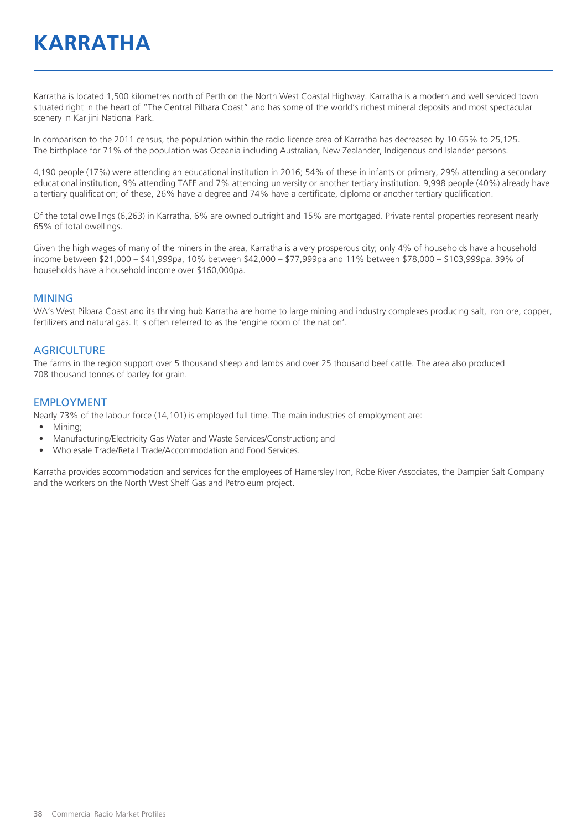Karratha is located 1,500 kilometres north of Perth on the North West Coastal Highway. Karratha is a modern and well serviced town situated right in the heart of "The Central Pilbara Coast" and has some of the world's richest mineral deposits and most spectacular scenery in Karijini National Park.

In comparison to the 2011 census, the population within the radio licence area of Karratha has decreased by 10.65% to 25,125. The birthplace for 71% of the population was Oceania including Australian, New Zealander, Indigenous and Islander persons.

4,190 people (17%) were attending an educational institution in 2016; 54% of these in infants or primary, 29% attending a secondary educational institution, 9% attending TAFE and 7% attending university or another tertiary institution. 9,998 people (40%) already have a tertiary qualification; of these, 26% have a degree and 74% have a certificate, diploma or another tertiary qualification.

Of the total dwellings (6,263) in Karratha, 6% are owned outright and 15% are mortgaged. Private rental properties represent nearly 65% of total dwellings.

Given the high wages of many of the miners in the area, Karratha is a very prosperous city; only 4% of households have a household income between \$21,000 – \$41,999pa, 10% between \$42,000 – \$77,999pa and 11% between \$78,000 – \$103,999pa. 39% of households have a household income over \$160,000pa.

#### MINING

WA's West Pilbara Coast and its thriving hub Karratha are home to large mining and industry complexes producing salt, iron ore, copper, fertilizers and natural gas. It is often referred to as the 'engine room of the nation'.

#### **AGRICULTURE**

The farms in the region support over 5 thousand sheep and lambs and over 25 thousand beef cattle. The area also produced 708 thousand tonnes of barley for grain.

#### EMPLOYMENT

Nearly 73% of the labour force (14,101) is employed full time. The main industries of employment are:

- Mining;
- Manufacturing/Electricity Gas Water and Waste Services/Construction; and
- Wholesale Trade/Retail Trade/Accommodation and Food Services.

Karratha provides accommodation and services for the employees of Hamersley Iron, Robe River Associates, the Dampier Salt Company and the workers on the North West Shelf Gas and Petroleum project.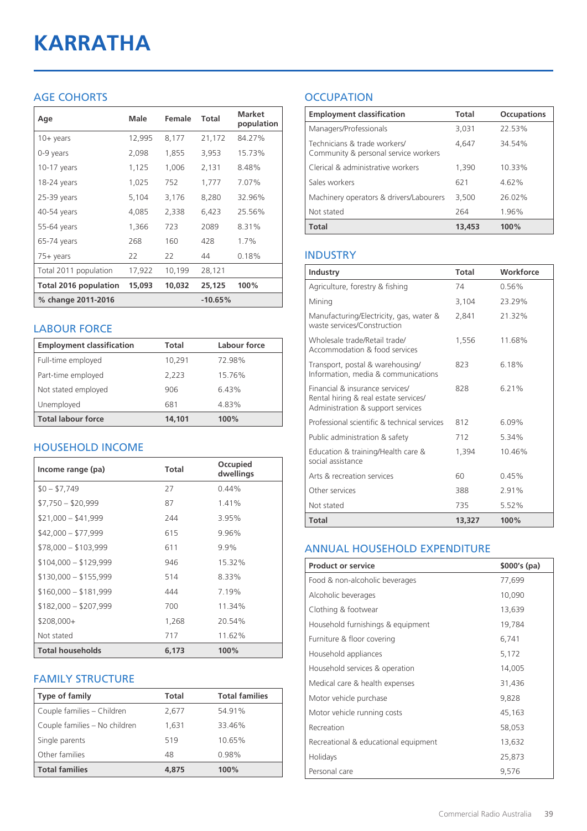# **KARRATHA**

## AGE COHORTS

| Age                          | Male   | Female | Total     | <b>Market</b><br>population |
|------------------------------|--------|--------|-----------|-----------------------------|
| $10 + \gamma$ ears           | 12,995 | 8,177  | 21,172    | 84.27%                      |
| 0-9 years                    | 2,098  | 1,855  | 3,953     | 15.73%                      |
| $10-17$ years                | 1,125  | 1,006  | 2,131     | 8.48%                       |
| 18-24 years                  | 1,025  | 752    | 1,777     | 7.07%                       |
| 25-39 years                  | 5,104  | 3,176  | 8,280     | 32.96%                      |
| 40-54 years                  | 4,085  | 2,338  | 6,423     | 25.56%                      |
| 55-64 years                  | 1,366  | 723    | 2089      | 8.31%                       |
| 65-74 years                  | 268    | 160    | 428       | 1.7%                        |
| $75+$ years                  | 22     | 22     | 44        | 0.18%                       |
| Total 2011 population        | 17,922 | 10,199 | 28,121    |                             |
| <b>Total 2016 population</b> | 15,093 | 10,032 | 25,125    | 100%                        |
| % change 2011-2016           |        |        | $-10.65%$ |                             |

#### LABOUR FORCE

| <b>Employment classification</b> | <b>Total</b> | Labour force |
|----------------------------------|--------------|--------------|
| Full-time employed               | 10,291       | 72.98%       |
| Part-time employed               | 2,223        | 15.76%       |
| Not stated employed              | 906          | 6.43%        |
| Unemployed                       | 681          | 4.83%        |
| <b>Total labour force</b>        | 14.101       | 100%         |

### HOUSEHOLD INCOME

| Income range (pa)       | <b>Total</b> | Occupied<br>dwellings |
|-------------------------|--------------|-----------------------|
| $$0 - $7.749$           | 27           | 0.44%                 |
| $$7,750 - $20,999$      | 87           | 1.41%                 |
| $$21,000 - $41,999$     | 244          | 3.95%                 |
| $$42,000 - $77,999$     | 615          | 9.96%                 |
| $$78,000 - $103,999$    | 611          | $9.9\%$               |
| $$104,000 - $129,999$   | 946          | 15.32%                |
| $$130,000 - $155,999$   | 514          | 8.33%                 |
| $$160,000 - $181,999$   | 444          | 7.19%                 |
| $$182,000 - $207,999$   | 700          | 11.34%                |
| $$208,000+$             | 1,268        | 20.54%                |
| Not stated              | 717          | 11.62%                |
| <b>Total households</b> | 6,173        | 100%                  |

### FAMILY STRUCTURE

| <b>Type of family</b>         | <b>Total</b> | <b>Total families</b> |
|-------------------------------|--------------|-----------------------|
| Couple families - Children    | 2,677        | 54.91%                |
| Couple families - No children | 1,631        | 33.46%                |
| Single parents                | 519          | 10.65%                |
| Other families                | 48           | 0.98%                 |
| <b>Total families</b>         | 4,875        | 100%                  |

# **OCCUPATION**

| <b>Employment classification</b>                                     | <b>Total</b> | <b>Occupations</b> |
|----------------------------------------------------------------------|--------------|--------------------|
| Managers/Professionals                                               | 3,031        | 22.53%             |
| Technicians & trade workers/<br>Community & personal service workers | 4,647        | 34.54%             |
| Clerical & administrative workers                                    | 1,390        | 10.33%             |
| Sales workers                                                        | 621          | 4.62%              |
| Machinery operators & drivers/Labourers                              | 3,500        | 26.02%             |
| Not stated                                                           | 264          | 1.96%              |
| <b>Total</b>                                                         | 13,453       | 100%               |

#### INDUSTRY

| Industry                                                                                                      | Total  | Workforce |
|---------------------------------------------------------------------------------------------------------------|--------|-----------|
| Agriculture, forestry & fishing                                                                               | 74     | 0.56%     |
| Mining                                                                                                        | 3,104  | 23.29%    |
| Manufacturing/Electricity, gas, water &<br>waste services/Construction                                        | 2,841  | 21.32%    |
| Wholesale trade/Retail trade/<br>Accommodation & food services                                                | 1.556  | 11.68%    |
| Transport, postal & warehousing/<br>Information, media & communications                                       | 823    | 6.18%     |
| Financial & insurance services/<br>Rental hiring & real estate services/<br>Administration & support services | 828    | 6.21%     |
| Professional scientific & technical services                                                                  | 812    | $6.09\%$  |
| Public administration & safety                                                                                | 712    | 5.34%     |
| Education & training/Health care &<br>social assistance                                                       | 1.394  | 10.46%    |
| Arts & recreation services                                                                                    | 60     | 0.45%     |
| Other services                                                                                                | 388    | 2.91%     |
| Not stated                                                                                                    | 735    | 5.52%     |
| <b>Total</b>                                                                                                  | 13,327 | 100%      |

#### ANNUAL HOUSEHOLD EXPENDITURE

| <b>Product or service</b>            | $$000's$ (pa) |
|--------------------------------------|---------------|
| Food & non-alcoholic beverages       | 77,699        |
| Alcoholic beverages                  | 10,090        |
| Clothing & footwear                  | 13,639        |
| Household furnishings & equipment    | 19,784        |
| Furniture & floor covering           | 6,741         |
| Household appliances                 | 5,172         |
| Household services & operation       | 14,005        |
| Medical care & health expenses       | 31,436        |
| Motor vehicle purchase               | 9,828         |
| Motor vehicle running costs          | 45,163        |
| Recreation                           | 58,053        |
| Recreational & educational equipment | 13,632        |
| Holidays                             | 25,873        |
| Personal care                        | 9,576         |